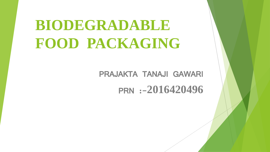# **BIODEGRADABLE FOOD PACKAGING**

PRAJAKTA TANAJI GAWARI PRN :-**2016420496**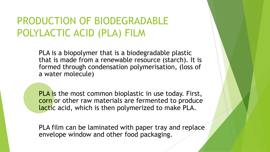### PRODUCTION OF BIODEGRADABLE POLYLACTIC ACID (PLA) FILM

PLA is a biopolymer that is a biodegradable plastic that is made from a renewable resource (starch). It is formed through condensation polymerisation, (loss of a water molecule)

PLA is the most common bioplastic in use today. First, corn or other raw materials are fermented to produce lactic acid, which is then polymerized to make PLA.

PLA film can be laminated with paper tray and replace envelope window and other food packaging.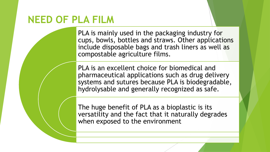### **NEED OF PLA FILM**

PLA is mainly used in the packaging industry for cups, bowls, bottles and straws. Other applications include disposable bags and trash liners as well as compostable agriculture films.

PLA is an excellent choice for biomedical and pharmaceutical applications such as drug delivery systems and sutures because PLA is biodegradable, hydrolysable and generally recognized as safe.

The huge benefit of PLA as a bioplastic is its versatility and the fact that it naturally degrades when exposed to the environment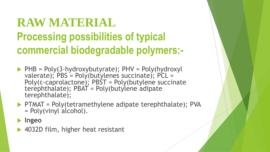# **RAW MATERIAL Processing possibilities of typical commercial biodegradable polymers:-**

- $\blacktriangleright$  PHB = Poly(3-hydroxybutyrate); PHV = Poly(hydroxyl valerate); PBS = Poly(butylenes succinate); PCL = Poly(ɛ‐caprolactone); PBST = Poly(butylene succinate terephthalate); PBAT = Poly(butylene adipate terephthalate);
- $\blacktriangleright$  PTMAT = Poly(tetramethylene adipate terephthalate); PVA = Poly(vinyl alcohol).
- **Ingeo**
- ▶ 4032D film, higher heat resistant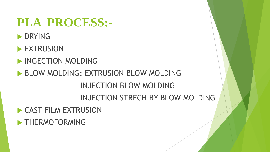# **PLA PROCESS:-**

- **DRYING**
- **EXTRUSION**
- INGECTION MOLDING
- **BLOW MOLDING: EXTRUSION BLOW MOLDING** INJECTION BLOW MOLDING INJECTION STRECH BY BLOW MOLDING
- **CAST FILM EXTRUSION**
- **FHERMOFORMING**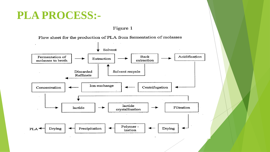### PLA PROCESS:-

Figure 1

Flow sheet for the production of PLA from fermentation of molasses

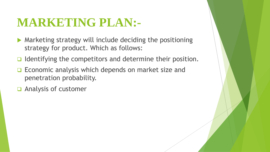# **MARKETING PLAN:-**

- Marketing strategy will include deciding the positioning strategy for product. Which as follows:
- $\Box$  Identifying the competitors and determine their position.
- Economic analysis which depends on market size and penetration probability.
- Analysis of customer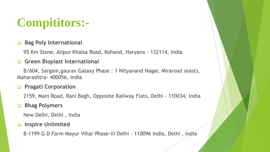# **Compititors:-**

#### **Bag Poly International**

95 Km Stone, Alipur Khalsa Road, Kohand, Haryana - 132114, India

#### **Green Bioplast International**

B/604, Sargam,gaurav Galaxy Phase : 1 Nityanand Nagar, Miraroad (east), Maharashtra- 400056, India

#### **Pragati Corporation**

2159, Main Road, Rani Bagh, Opposite Railway Flats, Delhi - 110034, India

#### **Bhag Polymers**

New Delhi, Delhi , India

#### **Inspire Unlimited**

B-1199 G D Farm Mayur Vihar Phase-iii Delhi - 110096 India, Delhi , India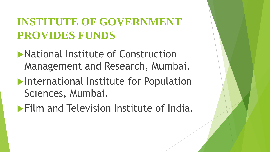### **INSTITUTE OF GOVERNMENT PROVIDES FUNDS**

- National Institute of Construction Management and Research, Mumbai.
- International Institute for Population Sciences, Mumbai.
- **Film and Television Institute of India.**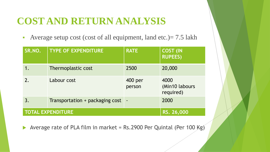### **COST AND RETURN ANALYSIS**

Average setup cost (cost of all equipment, land etc.) =  $7.5$  lakh

| SR.NO.                   | <b>TYPE OF EXPENDITURE</b>      | <b>RATE</b>       | <b>COST (IN</b><br><b>RUPEES)</b>   |
|--------------------------|---------------------------------|-------------------|-------------------------------------|
|                          | Thermoplastic cost              | 2500              | 20,000                              |
| $\overline{2}$ .         | Labour cost                     | 400 per<br>person | 4000<br>(Min10 labours<br>required) |
| 3.                       | Transportation + packaging cost |                   | 2000                                |
| <b>TOTAL EXPENDITURE</b> |                                 |                   | RS. 26,000                          |

Average rate of PLA film in market = Rs.2900 Per Quintal (Per 100 Kg)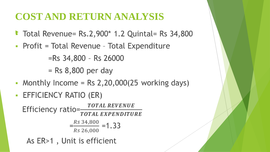### COST AND RETURN ANALYSIS

- Total Revenue= Rs.2,900\* 1.2 Quintal= Rs 34,800
- Profit = Total Revenue Total Expenditure

 $=$ Rs 34,800 - Rs 26000

 $=$  Rs 8,800 per day

- Monthly Income =  $Rs 2,20,000(25)$  working days)
- EFFICIENCY RATIO (ER)

Efficiency ratio= $\frac{Total REVIEW}{Total. EXPERDITURE}$  $\frac{Rs 34,800}{1} = 1.33$ Rs 26,000

As ER>1, Unit is efficient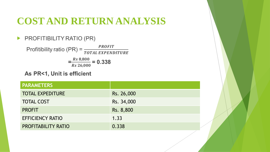### **COST AND RETURN ANALYSIS**

#### PROFITIBILITY RATIO (PR)

Profitibility ratio (PR) =  $\frac{PROFIT}{TOTAL EXPENDITURE}$  $\frac{R_s 8,800}{R_s 26,000} = 0.338$ 

As PR<1, Unit is efficient

| <b>PARAMETERS</b>          |            |
|----------------------------|------------|
| <b>TOTAL EXPEDITURE</b>    | Rs. 26,000 |
| <b>TOTAL COST</b>          | Rs. 34,000 |
| <b>PROFIT</b>              | Rs. 8,800  |
| <b>EFFICIENCY RATIO</b>    | 1.33       |
| <b>PROFITABILITY RATIO</b> | 0.338      |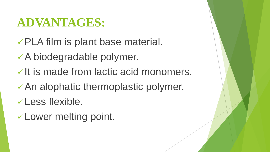# **ADVANTAGES:**

- PLA film is plant base material.
- A biodegradable polymer.
- $\checkmark$  It is made from lactic acid monomers.
- An alophatic thermoplastic polymer.
- Less flexible.
- Lower melting point.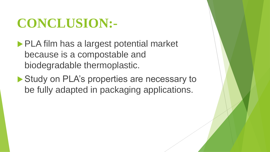# **CONCLUSION:-**

**PLA film has a largest potential market** because is a compostable and biodegradable thermoplastic.

Study on PLA's properties are necessary to be fully adapted in packaging applications.